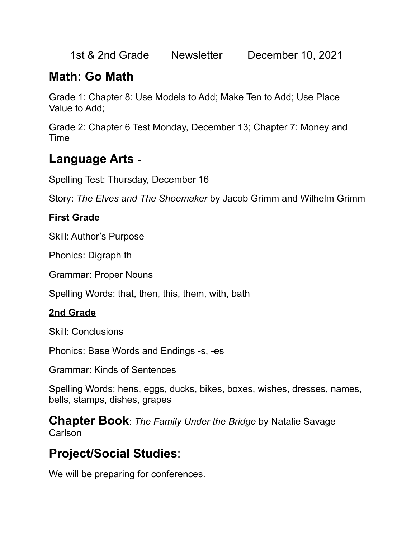1st & 2nd Grade Newsletter December 10, 2021

# **Math: Go Math**

Grade 1: Chapter 8: Use Models to Add; Make Ten to Add; Use Place Value to Add;

Grade 2: Chapter 6 Test Monday, December 13; Chapter 7: Money and Time

### **Language Arts** -

Spelling Test: Thursday, December 16

Story: *The Elves and The Shoemaker* by Jacob Grimm and Wilhelm Grimm

#### **First Grade**

Skill: Author's Purpose

Phonics: Digraph th

Grammar: Proper Nouns

Spelling Words: that, then, this, them, with, bath

### **2nd Grade**

Skill: Conclusions

Phonics: Base Words and Endings -s, -es

Grammar: Kinds of Sentences

Spelling Words: hens, eggs, ducks, bikes, boxes, wishes, dresses, names, bells, stamps, dishes, grapes

**Chapter Book**: *The Family Under the Bridge* by Natalie Savage **Carlson** 

# **Project/Social Studies**:

We will be preparing for conferences.